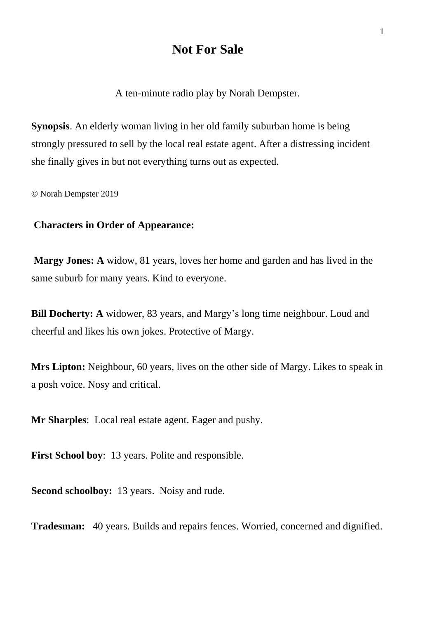# **Not For Sale**

A ten-minute radio play by Norah Dempster.

**Synopsis**. An elderly woman living in her old family suburban home is being strongly pressured to sell by the local real estate agent. After a distressing incident she finally gives in but not everything turns out as expected.

© Norah Dempster 2019

## **Characters in Order of Appearance:**

**Margy Jones: A** widow, 81 years, loves her home and garden and has lived in the same suburb for many years. Kind to everyone.

**Bill Docherty: A** widower, 83 years, and Margy's long time neighbour. Loud and cheerful and likes his own jokes. Protective of Margy.

**Mrs Lipton:** Neighbour, 60 years, lives on the other side of Margy. Likes to speak in a posh voice. Nosy and critical.

**Mr Sharples**: Local real estate agent. Eager and pushy.

**First School boy**: 13 years. Polite and responsible.

**Second schoolboy:** 13 years. Noisy and rude.

**Tradesman:** 40 years. Builds and repairs fences. Worried, concerned and dignified.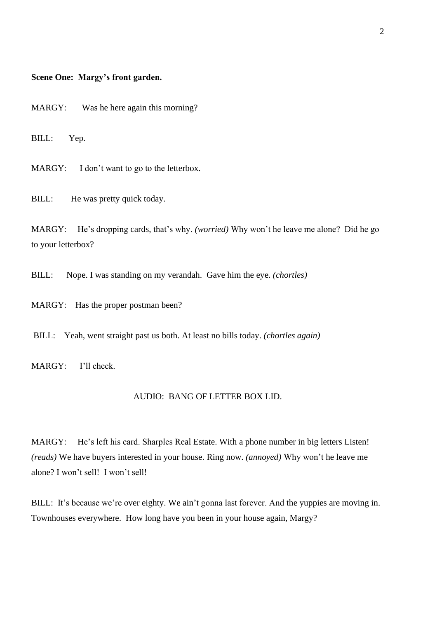### **Scene One: Margy's front garden.**

MARGY: Was he here again this morning?

BILL: Yep.

MARGY: I don't want to go to the letterbox.

BILL: He was pretty quick today.

MARGY: He's dropping cards, that's why. *(worried)* Why won't he leave me alone? Did he go to your letterbox?

BILL: Nope. I was standing on my verandah. Gave him the eye. *(chortles)*

MARGY: Has the proper postman been?

BILL: Yeah, went straight past us both. At least no bills today. *(chortles again)*

MARGY: I'll check.

#### AUDIO: BANG OF LETTER BOX LID.

MARGY: He's left his card. Sharples Real Estate. With a phone number in big letters Listen! *(reads)* We have buyers interested in your house. Ring now. *(annoyed)* Why won't he leave me alone? I won't sell! I won't sell!

BILL: It's because we're over eighty. We ain't gonna last forever. And the yuppies are moving in. Townhouses everywhere. How long have you been in your house again, Margy?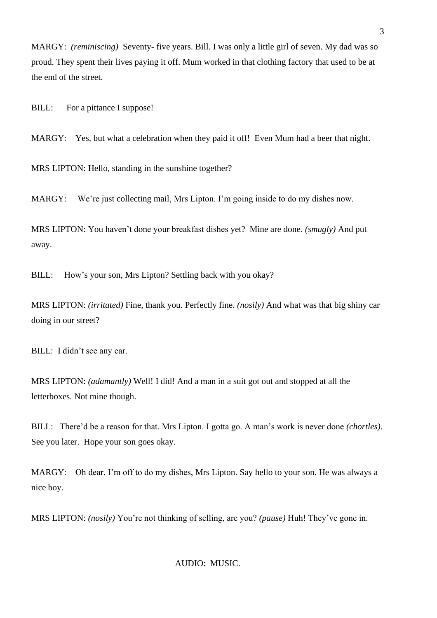MARGY: *(reminiscing)* Seventy- five years. Bill. I was only a little girl of seven. My dad was so proud. They spent their lives paying it off. Mum worked in that clothing factory that used to be at the end of the street.

BILL: For a pittance I suppose!

MARGY: Yes, but what a celebration when they paid it off! Even Mum had a beer that night.

MRS LIPTON: Hello, standing in the sunshine together?

MARGY: We're just collecting mail, Mrs Lipton. I'm going inside to do my dishes now.

MRS LIPTON: You haven't done your breakfast dishes yet? Mine are done. *(smugly)* And put away.

BILL: How's your son, Mrs Lipton? Settling back with you okay?

MRS LIPTON: *(irritated)* Fine, thank you. Perfectly fine. *(nosily)* And what was that big shiny car doing in our street?

BILL: I didn't see any car.

MRS LIPTON: *(adamantly)* Well! I did! And a man in a suit got out and stopped at all the letterboxes. Not mine though.

BILL: There'd be a reason for that. Mrs Lipton. I gotta go. A man's work is never done *(chortles)*. See you later. Hope your son goes okay.

MARGY: Oh dear, I'm off to do my dishes, Mrs Lipton. Say hello to your son. He was always a nice boy.

MRS LIPTON: *(nosily)* You're not thinking of selling, are you? *(pause)* Huh! They've gone in.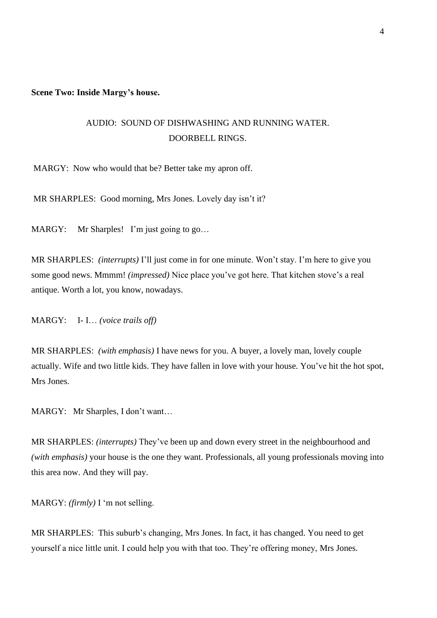**Scene Two: Inside Margy's house.** 

## AUDIO: SOUND OF DISHWASHING AND RUNNING WATER. DOORBELL RINGS.

MARGY: Now who would that be? Better take my apron off.

MR SHARPLES: Good morning, Mrs Jones. Lovely day isn't it?

MARGY: Mr Sharples! I'm just going to go...

MR SHARPLES: *(interrupts)* I'll just come in for one minute. Won't stay. I'm here to give you some good news. Mmmm! *(impressed)* Nice place you've got here. That kitchen stove's a real antique. Worth a lot, you know, nowadays.

MARGY: I- I… *(voice trails off)*

MR SHARPLES: *(with emphasis)* I have news for you. A buyer, a lovely man, lovely couple actually. Wife and two little kids. They have fallen in love with your house. You've hit the hot spot, Mrs Jones.

MARGY: Mr Sharples, I don't want…

MR SHARPLES: *(interrupts)* They've been up and down every street in the neighbourhood and *(with emphasis)* your house is the one they want. Professionals, all young professionals moving into this area now. And they will pay.

MARGY: *(firmly)* I 'm not selling.

MR SHARPLES: This suburb's changing, Mrs Jones. In fact, it has changed. You need to get yourself a nice little unit. I could help you with that too. They're offering money, Mrs Jones.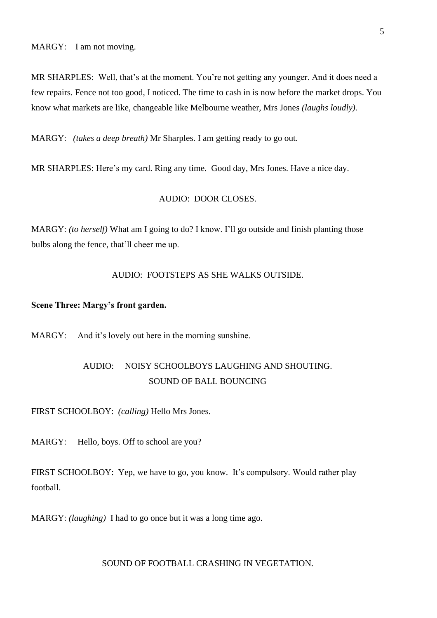MARGY: I am not moving.

MR SHARPLES: Well, that's at the moment. You're not getting any younger. And it does need a few repairs. Fence not too good, I noticed. The time to cash in is now before the market drops. You know what markets are like, changeable like Melbourne weather, Mrs Jones *(laughs loudly).*

MARGY: *(takes a deep breath)* Mr Sharples. I am getting ready to go out.

MR SHARPLES: Here's my card. Ring any time. Good day, Mrs Jones. Have a nice day.

## AUDIO: DOOR CLOSES.

MARGY: *(to herself)* What am I going to do? I know. I'll go outside and finish planting those bulbs along the fence, that'll cheer me up.

### AUDIO: FOOTSTEPS AS SHE WALKS OUTSIDE.

#### **Scene Three: Margy's front garden.**

MARGY: And it's lovely out here in the morning sunshine.

## AUDIO: NOISY SCHOOLBOYS LAUGHING AND SHOUTING. SOUND OF BALL BOUNCING

FIRST SCHOOLBOY: *(calling)* Hello Mrs Jones.

MARGY: Hello, boys. Off to school are you?

FIRST SCHOOLBOY: Yep, we have to go, you know. It's compulsory. Would rather play football.

MARGY: *(laughing)* I had to go once but it was a long time ago.

### SOUND OF FOOTBALL CRASHING IN VEGETATION.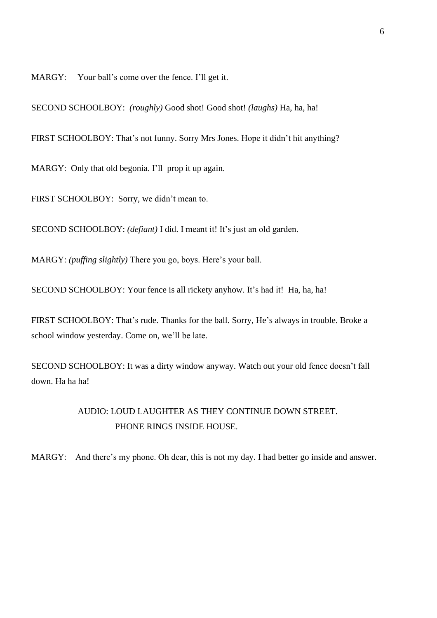MARGY: Your ball's come over the fence. I'll get it.

SECOND SCHOOLBOY: *(roughly)* Good shot! Good shot! *(laughs)* Ha, ha, ha!

FIRST SCHOOLBOY: That's not funny. Sorry Mrs Jones. Hope it didn't hit anything?

MARGY: Only that old begonia. I'll prop it up again.

FIRST SCHOOLBOY: Sorry, we didn't mean to.

SECOND SCHOOLBOY: *(defiant)* I did. I meant it! It's just an old garden.

MARGY: *(puffing slightly)* There you go, boys. Here's your ball.

SECOND SCHOOLBOY: Your fence is all rickety anyhow. It's had it! Ha, ha, ha!

FIRST SCHOOLBOY: That's rude. Thanks for the ball. Sorry, He's always in trouble. Broke a school window yesterday. Come on, we'll be late.

SECOND SCHOOLBOY: It was a dirty window anyway. Watch out your old fence doesn't fall down. Ha ha ha!

## AUDIO: LOUD LAUGHTER AS THEY CONTINUE DOWN STREET. PHONE RINGS INSIDE HOUSE.

MARGY: And there's my phone. Oh dear, this is not my day. I had better go inside and answer.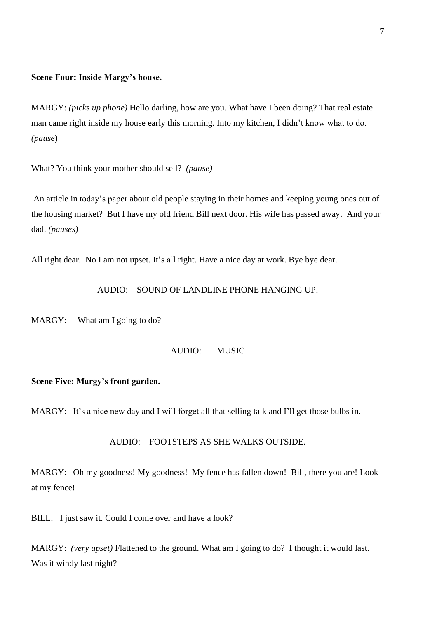### **Scene Four: Inside Margy's house.**

MARGY: *(picks up phone)* Hello darling, how are you. What have I been doing? That real estate man came right inside my house early this morning. Into my kitchen, I didn't know what to do. *(pause*)

What? You think your mother should sell? *(pause)* 

An article in today's paper about old people staying in their homes and keeping young ones out of the housing market? But I have my old friend Bill next door. His wife has passed away. And your dad. *(pauses)*

All right dear. No I am not upset. It's all right. Have a nice day at work. Bye bye dear.

## AUDIO: SOUND OF LANDLINE PHONE HANGING UP.

MARGY: What am I going to do?

### AUDIO: MUSIC

### **Scene Five: Margy's front garden.**

MARGY: It's a nice new day and I will forget all that selling talk and I'll get those bulbs in.

### AUDIO: FOOTSTEPS AS SHE WALKS OUTSIDE.

MARGY: Oh my goodness! My goodness! My fence has fallen down! Bill, there you are! Look at my fence!

BILL: I just saw it. Could I come over and have a look?

MARGY: *(very upset)* Flattened to the ground. What am I going to do? I thought it would last. Was it windy last night?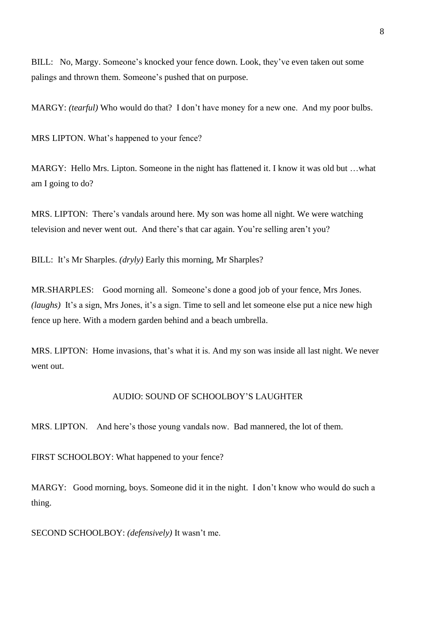BILL: No, Margy. Someone's knocked your fence down. Look, they've even taken out some palings and thrown them. Someone's pushed that on purpose.

MARGY: *(tearful)* Who would do that? I don't have money for a new one. And my poor bulbs.

MRS LIPTON. What's happened to your fence?

MARGY: Hello Mrs. Lipton. Someone in the night has flattened it. I know it was old but …what am I going to do?

MRS. LIPTON: There's vandals around here. My son was home all night. We were watching television and never went out. And there's that car again. You're selling aren't you?

BILL: It's Mr Sharples. *(dryly)* Early this morning, Mr Sharples?

MR.SHARPLES: Good morning all. Someone's done a good job of your fence, Mrs Jones. *(laughs)* It's a sign, Mrs Jones, it's a sign. Time to sell and let someone else put a nice new high fence up here. With a modern garden behind and a beach umbrella.

MRS. LIPTON: Home invasions, that's what it is. And my son was inside all last night. We never went out.

### AUDIO: SOUND OF SCHOOLBOY'S LAUGHTER

MRS. LIPTON. And here's those young vandals now. Bad mannered, the lot of them.

FIRST SCHOOLBOY: What happened to your fence?

MARGY: Good morning, boys. Someone did it in the night. I don't know who would do such a thing.

SECOND SCHOOLBOY: *(defensively)* It wasn't me.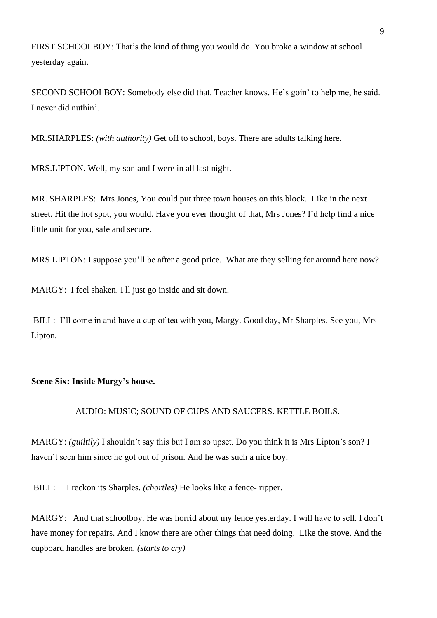FIRST SCHOOLBOY: That's the kind of thing you would do. You broke a window at school yesterday again.

SECOND SCHOOLBOY: Somebody else did that. Teacher knows. He's goin' to help me, he said. I never did nuthin'.

MR.SHARPLES: *(with authority)* Get off to school, boys. There are adults talking here.

MRS.LIPTON. Well, my son and I were in all last night.

MR. SHARPLES: Mrs Jones, You could put three town houses on this block. Like in the next street. Hit the hot spot, you would. Have you ever thought of that, Mrs Jones? I'd help find a nice little unit for you, safe and secure.

MRS LIPTON: I suppose you'll be after a good price. What are they selling for around here now?

MARGY: I feel shaken. I ll just go inside and sit down.

BILL: I'll come in and have a cup of tea with you, Margy. Good day, Mr Sharples. See you, Mrs Lipton.

### **Scene Six: Inside Margy's house.**

### AUDIO: MUSIC; SOUND OF CUPS AND SAUCERS. KETTLE BOILS.

MARGY: *(guiltily)* I shouldn't say this but I am so upset. Do you think it is Mrs Lipton's son? I haven't seen him since he got out of prison. And he was such a nice boy.

BILL: I reckon its Sharples*. (chortles)* He looks like a fence- ripper.

MARGY: And that schoolboy. He was horrid about my fence yesterday. I will have to sell. I don't have money for repairs. And I know there are other things that need doing. Like the stove. And the cupboard handles are broken. *(starts to cry)*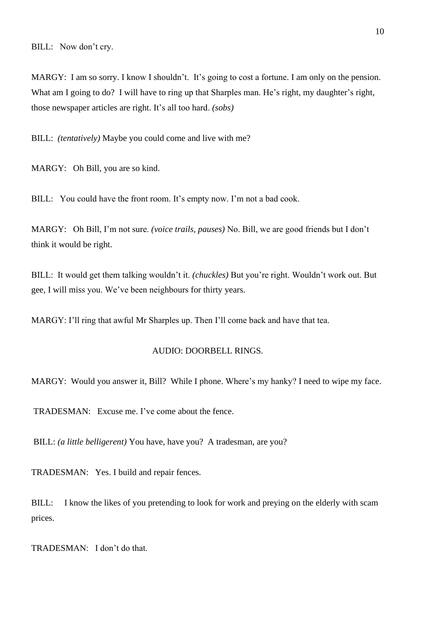MARGY: I am so sorry. I know I shouldn't. It's going to cost a fortune. I am only on the pension. What am I going to do? I will have to ring up that Sharples man. He's right, my daughter's right, those newspaper articles are right. It's all too hard. *(sobs)*

BILL: *(tentatively)* Maybe you could come and live with me?

MARGY: Oh Bill, you are so kind.

BILL: You could have the front room. It's empty now. I'm not a bad cook.

MARGY: Oh Bill, I'm not sure. *(voice trails, pauses)* No. Bill, we are good friends but I don't think it would be right.

BILL: It would get them talking wouldn't it. *(chuckles)* But you're right. Wouldn't work out. But gee, I will miss you. We've been neighbours for thirty years.

MARGY: I'll ring that awful Mr Sharples up. Then I'll come back and have that tea.

### AUDIO: DOORBELL RINGS.

MARGY: Would you answer it, Bill? While I phone. Where's my hanky? I need to wipe my face.

TRADESMAN: Excuse me. I've come about the fence.

BILL: *(a little belligerent)* You have, have you? A tradesman, are you?

TRADESMAN: Yes. I build and repair fences.

BILL: I know the likes of you pretending to look for work and preying on the elderly with scam prices.

TRADESMAN: I don't do that.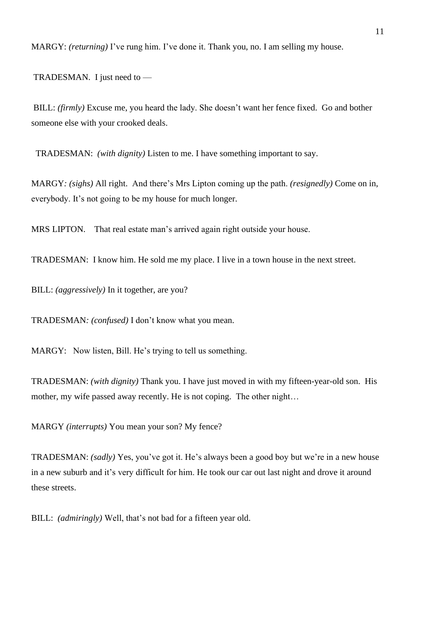MARGY: *(returning)* I've rung him. I've done it. Thank you, no. I am selling my house.

TRADESMAN. I just need to —

BILL: *(firmly)* Excuse me, you heard the lady. She doesn't want her fence fixed. Go and bother someone else with your crooked deals.

TRADESMAN: *(with dignity)* Listen to me. I have something important to say.

MARGY*: (sighs)* All right. And there's Mrs Lipton coming up the path. *(resignedly)* Come on in, everybody. It's not going to be my house for much longer.

MRS LIPTON. That real estate man's arrived again right outside your house.

TRADESMAN: I know him. He sold me my place. I live in a town house in the next street.

BILL: *(aggressively)* In it together, are you?

TRADESMAN*: (confused)* I don't know what you mean.

MARGY: Now listen, Bill. He's trying to tell us something.

TRADESMAN: *(with dignity)* Thank you. I have just moved in with my fifteen-year-old son. His mother, my wife passed away recently. He is not coping. The other night…

MARGY *(interrupts)* You mean your son? My fence?

TRADESMAN: *(sadly)* Yes, you've got it. He's always been a good boy but we're in a new house in a new suburb and it's very difficult for him. He took our car out last night and drove it around these streets.

BILL: *(admiringly)* Well, that's not bad for a fifteen year old.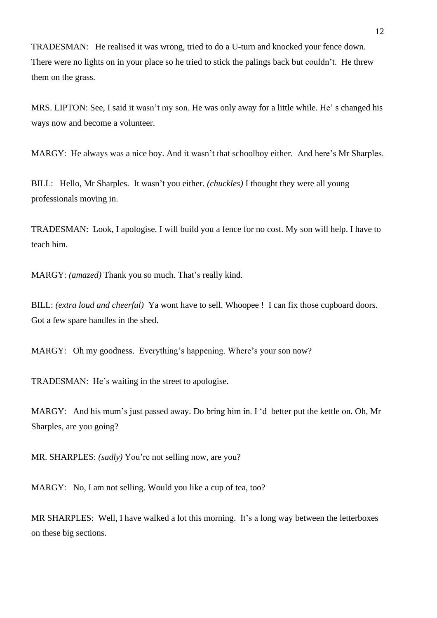TRADESMAN: He realised it was wrong, tried to do a U-turn and knocked your fence down. There were no lights on in your place so he tried to stick the palings back but couldn't. He threw them on the grass.

MRS. LIPTON: See, I said it wasn't my son. He was only away for a little while. He' s changed his ways now and become a volunteer.

MARGY: He always was a nice boy. And it wasn't that schoolboy either. And here's Mr Sharples.

BILL: Hello, Mr Sharples. It wasn't you either. *(chuckles)* I thought they were all young professionals moving in.

TRADESMAN: Look, I apologise. I will build you a fence for no cost. My son will help. I have to teach him.

MARGY: *(amazed)* Thank you so much. That's really kind.

BILL: *(extra loud and cheerful)* Ya wont have to sell. Whoopee ! I can fix those cupboard doors. Got a few spare handles in the shed.

MARGY: Oh my goodness. Everything's happening. Where's your son now?

TRADESMAN: He's waiting in the street to apologise.

MARGY: And his mum's just passed away. Do bring him in. I 'd better put the kettle on. Oh, Mr Sharples, are you going?

MR. SHARPLES: *(sadly)* You're not selling now, are you?

MARGY: No, I am not selling. Would you like a cup of tea, too?

MR SHARPLES: Well, I have walked a lot this morning. It's a long way between the letterboxes on these big sections.